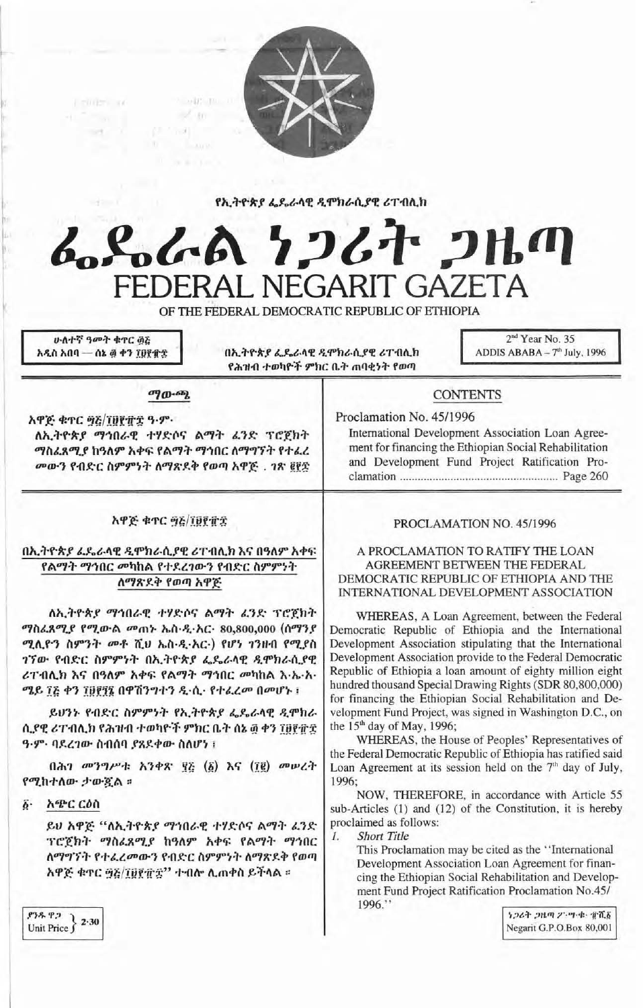

የኢትዮጵያ ፌዴራላዊ ዲሞክራሲያዊ ሪፐብሊክ

んぺんへん ケンムヤ フルの FEDERAL NEGARIT GAZETA

OF THE FEDERAL DEMOCRATIC REPUBLIC OF ETHIOPIA

ሁለተኛ ዓመት ቁዋር ፴፩ አዲስ አበባ — ሰኔ ፴ ቀን ፲፱፻፹፰

 $1 - 1112 - 36$ 

በኢትዮጵያ ፌዴራሳዊ ዲሞክራሲያዊ ሪፐብሊክ የሕዝብ ተወካዮች ምክር ቤት ጠባቂነት የወጣ

2<sup>nd</sup> Year No. 35 ADDIS ABABA - 7th July, 1996

## சு மு.கி

wift mind

 $\mathcal{A}$  and

አዋጅ ቁጥር ፵፩/፲፱፻፹፰ ዓ-ም-ለኢትዮጵያ ማኅበራዊ ተሃድሶና ልማት ፊንድ ፕሮጀክት ማስፌጸሚያ ከዓለም አቀፍ የልማት ማኅበር ለማግኘት የተፌረ መውን የብድር ስምምነት ለማጽደቅ የወጣ አዋጅ.. ገጽ ፪፻፳

### አዋጅ ቁጥር ፵፩/፲፱፻፹፰

በኢትዮጵያ ፌዴራላዊ ዲሞክራሲያዊ ሪፐብሊክ እና በዓለም አቀፍ የልማት ማኅበር መካከል የተደረገውን የብድር ስምምነት ለማጽደቅ የወጣ አዋጅ

ለኢትዮጵያ ማኅበራዊ ተሃድሶና ልማት ፊንድ ፕሮጀክት ማስፈጸሚያ የሚውል መጠኑ ኤስ·ዲ·አር· 80,800,000 (ሰማንያ ሚሊዮን ስምንት መቶ ሺህ ኤስ-ዲ-አር-) የሆነ ገንዘብ የሚያስ ገኘው የብድር ስምምነት በኢትዮጵያ ፌዴራላዊ ዲሞክራሲያዊ ሪፐብሊክ እና በዓለም አቀፍ የልማት ማኅበር መካከል እ<sub>'</sub>ኤ·አ· ሚይ ገን ቀን ገፀየኘ፤ በዋሽንግተን ዲ.ሲ. የተፈረመ በመሆኑ ፣

ይሀንኑ የብድር ስምምነት የኢትዮጵያ ፌጼራላዊ ዲሞክራ ሲያዊ ሪፐብሊክ የሕዝብ ተወካዮች ምክር ቤት ሰኔ ፴ ቀን ፲፱፻፹፰ ዓ.ም. ባደረገው ስብሰባ ያጸደቀው ስለሆነ ፣

በሕገ መንግሥቱ አንቀጽ ያይ (፩) እና (፲፪) መሠረት የሚከተለው ታውጇል ፡፡

፩· አጭር ርዕስ

ይሀ አዋጅ "ለኢትዮጵያ ማኅበራዊ ተሃድሶና ልማት ፊንድ ፕሮጀክት ማስፈጸሚያ ከዓለም አቀፍ የልማት ማኅበር ለማግኘት የተፈረመውን የብድር ስምምነት ለማጽደቅ የወጣ አዋጅ ቁዋር ፵፭/፲፱፻፹፰'' ተብሎ ሲጠቀስ ይችላል ።

# **CONTENTS**

Proclamation No. 45/1996 International Development Association Loan Agreement for financing the Ethiopian Social Rehabilitation and Development Fund Project Ratification Pro-

#### PROCLAMATION NO. 45/1996

#### A PROCLAMATION TO RATIFY THE LOAN AGREEMENT BETWEEN THE FEDERAL DEMOCRATIC REPUBLIC OF ETHIOPIA AND THE INTERNATIONAL DEVELOPMENT ASSOCIATION

WHEREAS, A Loan Agreement, between the Federal Democratic Republic of Ethiopia and the International Development Association stipulating that the International Development Association provide to the Federal Democratic Republic of Ethiopia a loan amount of eighty million eight hundred thousand Special Drawing Rights (SDR 80,800,000) for financing the Ethiopian Social Rehabilitation and Development Fund Project, was signed in Washington D.C., on the  $15<sup>th</sup>$  day of May, 1996;

WHEREAS, the House of Peoples' Representatives of the Federal Democratic Republic of Ethiopia has ratified said Loan Agreement at its session held on the 7<sup>th</sup> day of July, 1996:

NOW, THEREFORE, in accordance with Article 55 sub-Articles (1) and (12) of the Constitution, it is hereby proclaimed as follows:

**Short Title**  $I_{-}$ 

> This Proclamation may be cited as the "International" Development Association Loan Agreement for financing the Ethiopian Social Rehabilitation and Development Fund Project Ratification Proclamation No.45/ 1996."

 $\left\{\frac{\varphi_{3}^{2} \cdot \varphi_{2}}{\text{Unit Price}}\right\}$  2.30

うつるそ コルの 25.96年 電道者 Negarit G.P.O.Box 80,001